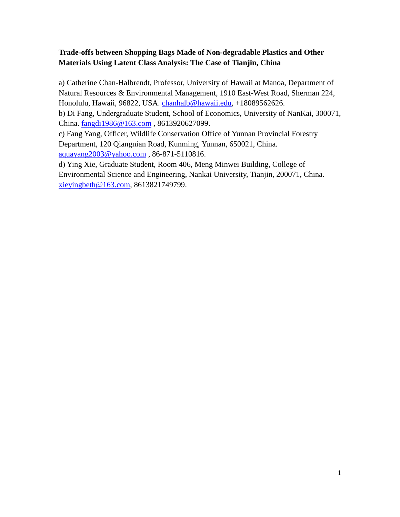# **Trade-offs between Shopping Bags Made of Non-degradable Plastics and Other Materials Using Latent Class Analysis: The Case of Tianjin, China**

a) Catherine Chan-Halbrendt, Professor, University of Hawaii at Manoa, Department of Natural Resources & Environmental Management, 1910 East-West Road, Sherman 224, Honolulu, Hawaii, 96822, USA. chanhalb@hawaii.edu, +18089562626.

b) Di Fang, Undergraduate Student, School of Economics, University of NanKai, 300071, China. fangdi1986@163.com , 8613920627099.

c) Fang Yang, Officer, Wildlife Conservation Office of Yunnan Provincial Forestry Department, 120 Qiangnian Road, Kunming, Yunnan, 650021, China. aquayang2003@yahoo.com , 86-871-5110816.

d) Ying Xie, Graduate Student, Room 406, Meng Minwei Building, College of Environmental Science and Engineering, Nankai University, Tianjin, 200071, China. xieyingbeth@163.com, 8613821749799.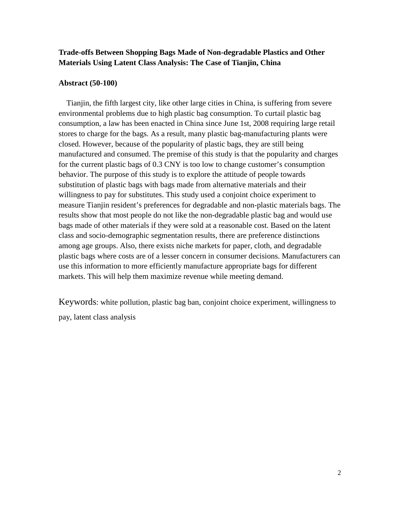# **Trade-offs Between Shopping Bags Made of Non-degradable Plastics and Other Materials Using Latent Class Analysis: The Case of Tianjin, China**

#### **Abstract (50-100)**

Tianjin, the fifth largest city, like other large cities in China, is suffering from severe environmental problems due to high plastic bag consumption. To curtail plastic bag consumption, a law has been enacted in China since June 1st, 2008 requiring large retail stores to charge for the bags. As a result, many plastic bag-manufacturing plants were closed. However, because of the popularity of plastic bags, they are still being manufactured and consumed. The premise of this study is that the popularity and charges for the current plastic bags of 0.3 CNY is too low to change customer's consumption behavior. The purpose of this study is to explore the attitude of people towards substitution of plastic bags with bags made from alternative materials and their willingness to pay for substitutes. This study used a conjoint choice experiment to measure Tianjin resident's preferences for degradable and non-plastic materials bags. The results show that most people do not like the non-degradable plastic bag and would use bags made of other materials if they were sold at a reasonable cost. Based on the latent class and socio-demographic segmentation results, there are preference distinctions among age groups. Also, there exists niche markets for paper, cloth, and degradable plastic bags where costs are of a lesser concern in consumer decisions. Manufacturers can use this information to more efficiently manufacture appropriate bags for different markets. This will help them maximize revenue while meeting demand.

Keywords: white pollution, plastic bag ban, conjoint choice experiment, willingness to pay, latent class analysis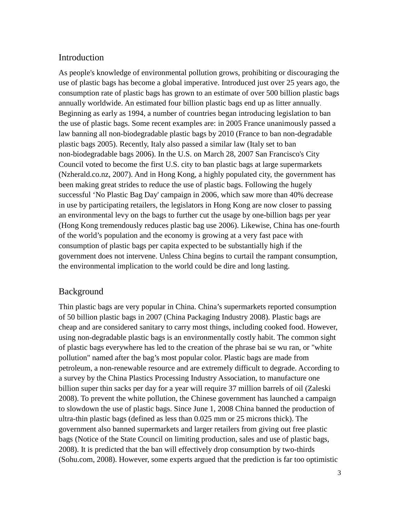## Introduction

As people's knowledge of environmental pollution grows, prohibiting or discouraging the use of plastic bags has become a global imperative. Introduced just over 25 years ago, the consumption rate of plastic bags has grown to an estimate of over 500 billion plastic bags annually worldwide. An estimated four billion plastic bags end up as litter annually. Beginning as early as 1994, a number of countries began introducing legislation to ban the use of plastic bags. Some recent examples are: in 2005 France unanimously passed a law banning all non-biodegradable plastic bags by 2010 (France to ban non-degradable plastic bags 2005). Recently, Italy also passed a similar law (Italy set to ban non-biodegradable bags 2006). In the U.S. on March 28, 2007 San Francisco's City Council voted to become the first U.S. city to ban plastic bags at large supermarkets (Nzherald.co.nz, 2007). And in Hong Kong, a highly populated city, the government has been making great strides to reduce the use of plastic bags. Following the hugely successful 'No Plastic Bag Day' campaign in 2006, which saw more than 40% decrease in use by participating retailers, the legislators in Hong Kong are now closer to passing an environmental levy on the bags to further cut the usage by one-billion bags per year (Hong Kong tremendously reduces plastic bag use 2006). Likewise, China has one-fourth of the world's population and the economy is growing at a very fast pace with consumption of plastic bags per capita expected to be substantially high if the government does not intervene. Unless China begins to curtail the rampant consumption, the environmental implication to the world could be dire and long lasting.

## Background

Thin plastic bags are very popular in China. China's supermarkets reported consumption of 50 billion plastic bags in 2007 (China Packaging Industry 2008). Plastic bags are cheap and are considered sanitary to carry most things, including cooked food. However, using non-degradable plastic bags is an environmentally costly habit. The common sight of plastic bags everywhere has led to the creation of the phrase bai se wu ran, or "white pollution" named after the bag's most popular color. Plastic bags are made from petroleum, a non-renewable resource and are extremely difficult to degrade. According to a survey by the China Plastics Processing Industry Association, to manufacture one billion super thin sacks per day for a year will require 37 million barrels of oil (Zaleski 2008). To prevent the white pollution, the Chinese government has launched a campaign to slowdown the use of plastic bags. Since June 1, 2008 China banned the production of ultra-thin plastic bags (defined as less than 0.025 mm or 25 microns thick). The government also banned supermarkets and larger retailers from giving out free plastic bags (Notice of the State Council on limiting production, sales and use of plastic bags, 2008). It is predicted that the ban will effectively drop consumption by two-thirds (Sohu.com, 2008). However, some experts argued that the prediction is far too optimistic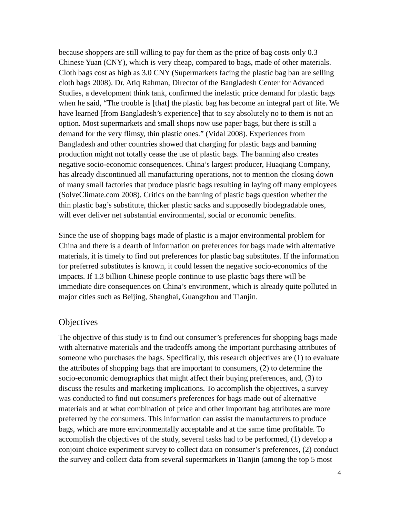because shoppers are still willing to pay for them as the price of bag costs only 0.3 Chinese Yuan (CNY), which is very cheap, compared to bags, made of other materials. Cloth bags cost as high as 3.0 CNY (Supermarkets facing the plastic bag ban are selling cloth bags 2008). Dr. Atiq Rahman, Director of the Bangladesh Center for Advanced Studies, a development think tank, confirmed the inelastic price demand for plastic bags when he said, "The trouble is [that] the plastic bag has become an integral part of life. We have learned [from Bangladesh's experience] that to say absolutely no to them is not an option. Most supermarkets and small shops now use paper bags, but there is still a demand for the very flimsy, thin plastic ones." (Vidal 2008). Experiences from Bangladesh and other countries showed that charging for plastic bags and banning production might not totally cease the use of plastic bags. The banning also creates negative socio-economic consequences. China's largest producer, Huaqiang Company, has already discontinued all manufacturing operations, not to mention the closing down of many small factories that produce plastic bags resulting in laying off many employees (SolveClimate.com 2008). Critics on the banning of plastic bags question whether the thin plastic bag's substitute, thicker plastic sacks and supposedly biodegradable ones, will ever deliver net substantial environmental, social or economic benefits.

Since the use of shopping bags made of plastic is a major environmental problem for China and there is a dearth of information on preferences for bags made with alternative materials, it is timely to find out preferences for plastic bag substitutes. If the information for preferred substitutes is known, it could lessen the negative socio-economics of the impacts. If 1.3 billion Chinese people continue to use plastic bags there will be immediate dire consequences on China's environment, which is already quite polluted in major cities such as Beijing, Shanghai, Guangzhou and Tianjin.

## **Objectives**

The objective of this study is to find out consumer's preferences for shopping bags made with alternative materials and the tradeoffs among the important purchasing attributes of someone who purchases the bags. Specifically, this research objectives are (1) to evaluate the attributes of shopping bags that are important to consumers, (2) to determine the socio-economic demographics that might affect their buying preferences, and, (3) to discuss the results and marketing implications. To accomplish the objectives, a survey was conducted to find out consumer's preferences for bags made out of alternative materials and at what combination of price and other important bag attributes are more preferred by the consumers. This information can assist the manufacturers to produce bags, which are more environmentally acceptable and at the same time profitable. To accomplish the objectives of the study, several tasks had to be performed, (1) develop a conjoint choice experiment survey to collect data on consumer's preferences, (2) conduct the survey and collect data from several supermarkets in Tianjin (among the top 5 most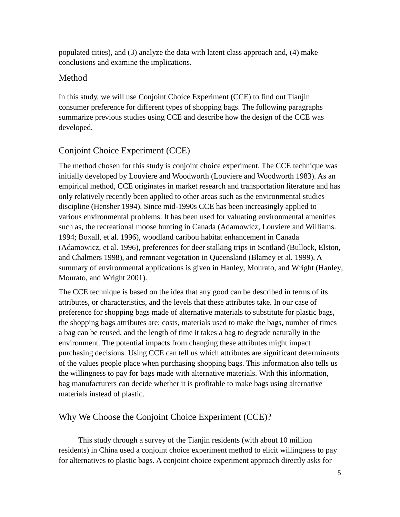populated cities), and (3) analyze the data with latent class approach and, (4) make conclusions and examine the implications.

# Method

In this study, we will use Conjoint Choice Experiment (CCE) to find out Tianjin consumer preference for different types of shopping bags. The following paragraphs summarize previous studies using CCE and describe how the design of the CCE was developed.

# Conjoint Choice Experiment (CCE)

The method chosen for this study is conjoint choice experiment. The CCE technique was initially developed by Louviere and Woodworth (Louviere and Woodworth 1983). As an empirical method, CCE originates in market research and transportation literature and has only relatively recently been applied to other areas such as the environmental studies discipline (Hensher 1994). Since mid-1990s CCE has been increasingly applied to various environmental problems. It has been used for valuating environmental amenities such as, the recreational moose hunting in Canada (Adamowicz, Louviere and Williams. 1994; Boxall, et al. 1996), woodland caribou habitat enhancement in Canada (Adamowicz, et al. 1996), preferences for deer stalking trips in Scotland (Bullock, Elston, and Chalmers 1998), and remnant vegetation in Queensland (Blamey et al. 1999). A summary of environmental applications is given in Hanley, Mourato, and Wright (Hanley, Mourato, and Wright 2001).

The CCE technique is based on the idea that any good can be described in terms of its attributes, or characteristics, and the levels that these attributes take. In our case of preference for shopping bags made of alternative materials to substitute for plastic bags, the shopping bags attributes are: costs, materials used to make the bags, number of times a bag can be reused, and the length of time it takes a bag to degrade naturally in the environment. The potential impacts from changing these attributes might impact purchasing decisions. Using CCE can tell us which attributes are significant determinants of the values people place when purchasing shopping bags. This information also tells us the willingness to pay for bags made with alternative materials. With this information, bag manufacturers can decide whether it is profitable to make bags using alternative materials instead of plastic.

# Why We Choose the Conjoint Choice Experiment (CCE)?

This study through a survey of the Tianjin residents (with about 10 million residents) in China used a conjoint choice experiment method to elicit willingness to pay for alternatives to plastic bags. A conjoint choice experiment approach directly asks for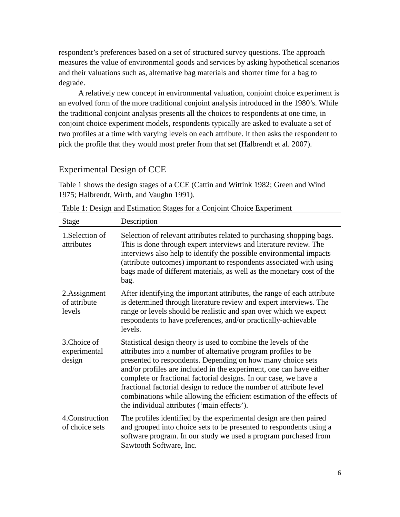respondent's preferences based on a set of structured survey questions. The approach measures the value of environmental goods and services by asking hypothetical scenarios and their valuations such as, alternative bag materials and shorter time for a bag to degrade.

A relatively new concept in environmental valuation, conjoint choice experiment is an evolved form of the more traditional conjoint analysis introduced in the 1980's. While the traditional conjoint analysis presents all the choices to respondents at one time, in conjoint choice experiment models, respondents typically are asked to evaluate a set of two profiles at a time with varying levels on each attribute. It then asks the respondent to pick the profile that they would most prefer from that set (Halbrendt et al. 2007).

# Experimental Design of CCE

Table 1 shows the design stages of a CCE (Cattin and Wittink 1982; Green and Wind 1975; Halbrendt, Wirth, and Vaughn 1991).

| <b>Stage</b>                           | Description                                                                                                                                                                                                                                                                                                                                                                                                                                                                                                                                |
|----------------------------------------|--------------------------------------------------------------------------------------------------------------------------------------------------------------------------------------------------------------------------------------------------------------------------------------------------------------------------------------------------------------------------------------------------------------------------------------------------------------------------------------------------------------------------------------------|
| 1. Selection of<br>attributes          | Selection of relevant attributes related to purchasing shopping bags.<br>This is done through expert interviews and literature review. The<br>interviews also help to identify the possible environmental impacts<br>(attribute outcomes) important to respondents associated with using<br>bags made of different materials, as well as the monetary cost of the<br>bag.                                                                                                                                                                  |
| 2.Assignment<br>of attribute<br>levels | After identifying the important attributes, the range of each attribute<br>is determined through literature review and expert interviews. The<br>range or levels should be realistic and span over which we expect<br>respondents to have preferences, and/or practically-achievable<br>levels.                                                                                                                                                                                                                                            |
| 3. Choice of<br>experimental<br>design | Statistical design theory is used to combine the levels of the<br>attributes into a number of alternative program profiles to be<br>presented to respondents. Depending on how many choice sets<br>and/or profiles are included in the experiment, one can have either<br>complete or fractional factorial designs. In our case, we have a<br>fractional factorial design to reduce the number of attribute level<br>combinations while allowing the efficient estimation of the effects of<br>the individual attributes ('main effects'). |
| 4. Construction<br>of choice sets      | The profiles identified by the experimental design are then paired<br>and grouped into choice sets to be presented to respondents using a<br>software program. In our study we used a program purchased from<br>Sawtooth Software, Inc.                                                                                                                                                                                                                                                                                                    |

Table 1: Design and Estimation Stages for a Conjoint Choice Experiment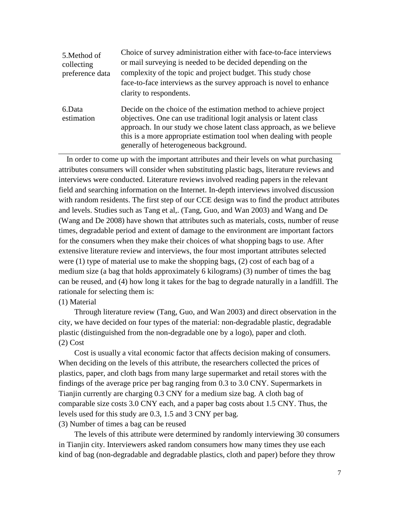| 5. Method of<br>collecting<br>preference data | Choice of survey administration either with face-to-face interviews<br>or mail surveying is needed to be decided depending on the<br>complexity of the topic and project budget. This study chose<br>face-to-face interviews as the survey approach is novel to enhance<br>clarity to respondents.                              |
|-----------------------------------------------|---------------------------------------------------------------------------------------------------------------------------------------------------------------------------------------------------------------------------------------------------------------------------------------------------------------------------------|
| 6.Data<br>estimation                          | Decide on the choice of the estimation method to achieve project<br>objectives. One can use traditional logit analysis or latent class<br>approach. In our study we chose latent class approach, as we believe<br>this is a more appropriate estimation tool when dealing with people<br>generally of heterogeneous background. |

 In order to come up with the important attributes and their levels on what purchasing attributes consumers will consider when substituting plastic bags, literature reviews and interviews were conducted. Literature reviews involved reading papers in the relevant field and searching information on the Internet. In-depth interviews involved discussion with random residents. The first step of our CCE design was to find the product attributes and levels. Studies such as Tang et al,. (Tang, Guo, and Wan 2003) and Wang and De (Wang and De 2008) have shown that attributes such as materials, costs, number of reuse times, degradable period and extent of damage to the environment are important factors for the consumers when they make their choices of what shopping bags to use. After extensive literature review and interviews, the four most important attributes selected were  $(1)$  type of material use to make the shopping bags,  $(2)$  cost of each bag of a medium size (a bag that holds approximately 6 kilograms) (3) number of times the bag can be reused, and (4) how long it takes for the bag to degrade naturally in a landfill. The rationale for selecting them is:

#### (1) Material

Through literature review (Tang, Guo, and Wan 2003) and direct observation in the city, we have decided on four types of the material: non-degradable plastic, degradable plastic (distinguished from the non-degradable one by a logo), paper and cloth. (2) Cost

Cost is usually a vital economic factor that affects decision making of consumers. When deciding on the levels of this attribute, the researchers collected the prices of plastics, paper, and cloth bags from many large supermarket and retail stores with the findings of the average price per bag ranging from 0.3 to 3.0 CNY. Supermarkets in Tianjin currently are charging 0.3 CNY for a medium size bag. A cloth bag of comparable size costs 3.0 CNY each, and a paper bag costs about 1.5 CNY. Thus, the levels used for this study are 0.3, 1.5 and 3 CNY per bag.

#### (3) Number of times a bag can be reused

The levels of this attribute were determined by randomly interviewing 30 consumers in Tianjin city. Interviewers asked random consumers how many times they use each kind of bag (non-degradable and degradable plastics, cloth and paper) before they throw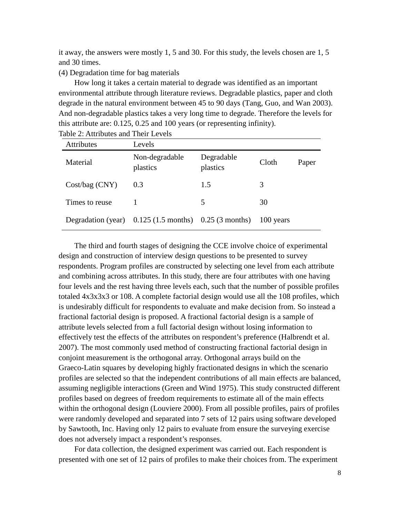it away, the answers were mostly 1, 5 and 30. For this study, the levels chosen are 1, 5 and 30 times.

#### (4) Degradation time for bag materials

How long it takes a certain material to degrade was identified as an important environmental attribute through literature reviews. Degradable plastics, paper and cloth degrade in the natural environment between 45 to 90 days (Tang, Guo, and Wan 2003). And non-degradable plastics takes a very long time to degrade. Therefore the levels for this attribute are: 0.125, 0.25 and 100 years (or representing infinity).

| <b>Attributes</b> | Levels                                                                  |                        |           |       |
|-------------------|-------------------------------------------------------------------------|------------------------|-----------|-------|
| Material          | Non-degradable<br>plastics                                              | Degradable<br>plastics | Cloth     | Paper |
| $Cost/bag$ (CNY)  | 0.3                                                                     | 1.5                    | 3         |       |
| Times to reuse    |                                                                         | 5                      | 30        |       |
|                   | Degradation (year) $0.125(1.5 \text{ months})$ $0.25(3 \text{ months})$ |                        | 100 years |       |

Table 2: Attributes and Their Levels

The third and fourth stages of designing the CCE involve choice of experimental design and construction of interview design questions to be presented to survey respondents. Program profiles are constructed by selecting one level from each attribute and combining across attributes. In this study, there are four attributes with one having four levels and the rest having three levels each, such that the number of possible profiles totaled 4x3x3x3 or 108. A complete factorial design would use all the 108 profiles, which is undesirably difficult for respondents to evaluate and make decision from. So instead a fractional factorial design is proposed. A fractional factorial design is a sample of attribute levels selected from a full factorial design without losing information to effectively test the effects of the attributes on respondent's preference (Halbrendt et al. 2007). The most commonly used method of constructing fractional factorial design in conjoint measurement is the orthogonal array. Orthogonal arrays build on the Graeco-Latin squares by developing highly fractionated designs in which the scenario profiles are selected so that the independent contributions of all main effects are balanced, assuming negligible interactions (Green and Wind 1975). This study constructed different profiles based on degrees of freedom requirements to estimate all of the main effects within the orthogonal design (Louviere 2000). From all possible profiles, pairs of profiles were randomly developed and separated into 7 sets of 12 pairs using software developed by Sawtooth, Inc. Having only 12 pairs to evaluate from ensure the surveying exercise does not adversely impact a respondent's responses.

For data collection, the designed experiment was carried out. Each respondent is presented with one set of 12 pairs of profiles to make their choices from. The experiment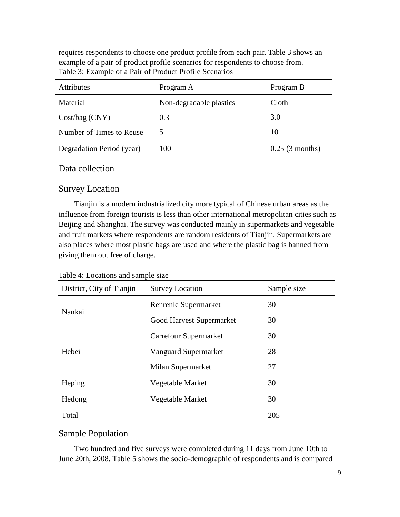requires respondents to choose one product profile from each pair. Table 3 shows an example of a pair of product profile scenarios for respondents to choose from. Table 3: Example of a Pair of Product Profile Scenarios

| <b>Attributes</b>         | Program A               | Program B         |
|---------------------------|-------------------------|-------------------|
| Material                  | Non-degradable plastics | Cloth             |
| $Cost/bag$ (CNY)          | 0.3                     | 3.0               |
| Number of Times to Reuse  | 5                       | 10                |
| Degradation Period (year) | 100                     | $0.25$ (3 months) |

### Data collection

## Survey Location

Tianjin is a modern industrialized city more typical of Chinese urban areas as the influence from foreign tourists is less than other international metropolitan cities such as Beijing and Shanghai. The survey was conducted mainly in supermarkets and vegetable and fruit markets where respondents are random residents of Tianjin. Supermarkets are also places where most plastic bags are used and where the plastic bag is banned from giving them out free of charge.

| Table 4: Locations and sample size |  |
|------------------------------------|--|
|------------------------------------|--|

| District, City of Tianjin | <b>Survey Location</b>   | Sample size |
|---------------------------|--------------------------|-------------|
| Nankai                    | Renrenle Supermarket     | 30          |
|                           | Good Harvest Supermarket | 30          |
|                           | Carrefour Supermarket    | 30          |
| Hebei                     | Vanguard Supermarket     | 28          |
|                           | Milan Supermarket        | 27          |
| Heping                    | Vegetable Market         | 30          |
| Hedong                    | Vegetable Market         | 30          |
| Total                     |                          | 205         |

# Sample Population

Two hundred and five surveys were completed during 11 days from June 10th to June 20th, 2008. Table 5 shows the socio-demographic of respondents and is compared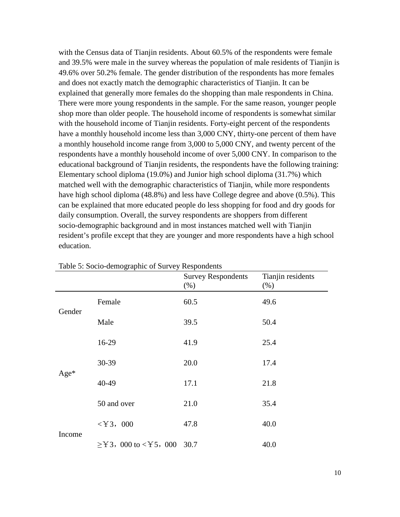with the Census data of Tianjin residents. About 60.5% of the respondents were female and 39.5% were male in the survey whereas the population of male residents of Tianjin is 49.6% over 50.2% female. The gender distribution of the respondents has more females and does not exactly match the demographic characteristics of Tianjin. It can be explained that generally more females do the shopping than male respondents in China. There were more young respondents in the sample. For the same reason, younger people shop more than older people. The household income of respondents is somewhat similar with the household income of Tianjin residents. Forty-eight percent of the respondents have a monthly household income less than 3,000 CNY, thirty-one percent of them have a monthly household income range from 3,000 to 5,000 CNY, and twenty percent of the respondents have a monthly household income of over 5,000 CNY. In comparison to the educational background of Tianjin residents, the respondents have the following training: Elementary school diploma (19.0%) and Junior high school diploma (31.7%) which matched well with the demographic characteristics of Tianjin, while more respondents have high school diploma (48.8%) and less have College degree and above (0.5%). This can be explained that more educated people do less shopping for food and dry goods for daily consumption. Overall, the survey respondents are shoppers from different socio-demographic background and in most instances matched well with Tianjin resident's profile except that they are younger and more respondents have a high school education.

|        |                                    | <b>Survey Respondents</b><br>(% ) | Tianjin residents<br>$(\%)$ |
|--------|------------------------------------|-----------------------------------|-----------------------------|
|        | Female                             | 60.5                              | 49.6                        |
| Gender | Male                               | 39.5                              | 50.4                        |
|        | 16-29                              | 41.9                              | 25.4                        |
|        | 30-39                              | 20.0                              | 17.4                        |
| Age*   | 40-49                              | 17.1                              | 21.8                        |
|        | 50 and over                        | 21.0                              | 35.4                        |
|        | $<$ Y 3, 000                       | 47.8                              | 40.0                        |
| Income | $\geq$ Y 3, 000 to < Y 5, 000 30.7 |                                   | 40.0                        |

Table 5: Socio-demographic of Survey Respondents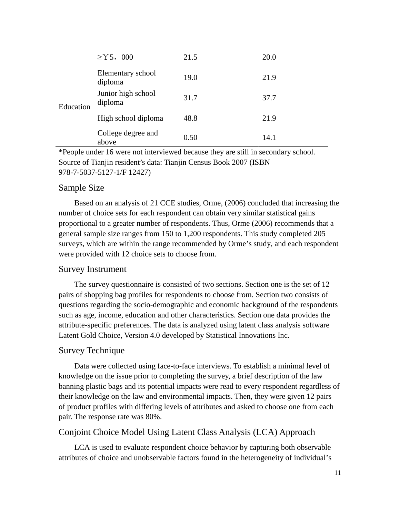|           | $\geq$ Y 5, 000               | 21.5 | 20.0 |
|-----------|-------------------------------|------|------|
|           | Elementary school<br>diploma  | 19.0 | 21.9 |
| Education | Junior high school<br>diploma | 31.7 | 37.7 |
|           | High school diploma           | 48.8 | 21.9 |
|           | College degree and<br>above   | 0.50 | 14.1 |

\*People under 16 were not interviewed because they are still in secondary school. Source of Tianjin resident's data: Tianjin Census Book 2007 (ISBN 978-7-5037-5127-1/F 12427)

## Sample Size

Based on an analysis of 21 CCE studies, Orme, (2006) concluded that increasing the number of choice sets for each respondent can obtain very similar statistical gains proportional to a greater number of respondents. Thus, Orme (2006) recommends that a general sample size ranges from 150 to 1,200 respondents. This study completed 205 surveys, which are within the range recommended by Orme's study, and each respondent were provided with 12 choice sets to choose from.

### Survey Instrument

The survey questionnaire is consisted of two sections. Section one is the set of 12 pairs of shopping bag profiles for respondents to choose from. Section two consists of questions regarding the socio-demographic and economic background of the respondents such as age, income, education and other characteristics. Section one data provides the attribute-specific preferences. The data is analyzed using latent class analysis software Latent Gold Choice, Version 4.0 developed by Statistical Innovations Inc.

#### Survey Technique

Data were collected using face-to-face interviews. To establish a minimal level of knowledge on the issue prior to completing the survey, a brief description of the law banning plastic bags and its potential impacts were read to every respondent regardless of their knowledge on the law and environmental impacts. Then, they were given 12 pairs of product profiles with differing levels of attributes and asked to choose one from each pair. The response rate was 80%.

## Conjoint Choice Model Using Latent Class Analysis (LCA) Approach

LCA is used to evaluate respondent choice behavior by capturing both observable attributes of choice and unobservable factors found in the heterogeneity of individual's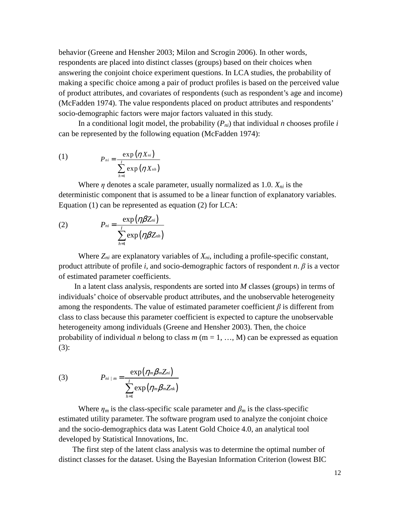behavior (Greene and Hensher 2003; Milon and Scrogin 2006). In other words, respondents are placed into distinct classes (groups) based on their choices when answering the conjoint choice experiment questions. In LCA studies, the probability of making a specific choice among a pair of product profiles is based on the perceived value of product attributes, and covariates of respondents (such as respondent's age and income) (McFadden 1974). The value respondents placed on product attributes and respondents' socio-demographic factors were major factors valuated in this study.

In a conditional logit model, the probability  $(P_{ni})$  that individual *n* chooses profile *i* can be represented by the following equation (McFadden 1974):

(1) 
$$
P_{ni} = \frac{\exp(\eta X_{ni})}{\sum_{h=1}^{I} \exp(\eta X_{nh})}
$$

Where  $\eta$  denotes a scale parameter, usually normalized as 1.0.  $X_{ni}$  is the deterministic component that is assumed to be a linear function of explanatory variables. Equation (1) can be represented as equation (2) for LCA:

(2) 
$$
P_{ni} = \frac{\exp(\eta \beta Z_{ni})}{\sum_{h=1}^{I} \exp(\eta \beta Z_{nh})}
$$

Where  $Z_{ni}$  are explanatory variables of  $X_{ni}$ , including a profile-specific constant, product attribute of profile *i*, and socio-demographic factors of respondent *n*. β is a vector of estimated parameter coefficients.

In a latent class analysis, respondents are sorted into *M* classes (groups) in terms of individuals' choice of observable product attributes, and the unobservable heterogeneity among the respondents. The value of estimated parameter coefficient  $\beta$  is different from class to class because this parameter coefficient is expected to capture the unobservable heterogeneity among individuals (Greene and Hensher 2003). Then, the choice probability of individual *n* belong to class  $m$  ( $m = 1, ..., M$ ) can be expressed as equation (3):

(3) 
$$
P_{ni | m} = \frac{\exp(\eta_m \beta_m Z_{ni})}{\sum_{h=1}^{I} \exp(\eta_m \beta_m Z_{nk})}
$$

Where  $\eta_m$  is the class-specific scale parameter and  $\beta_m$  is the class-specific estimated utility parameter. The software program used to analyze the conjoint choice and the socio-demographics data was Latent Gold Choice 4.0, an analytical tool developed by Statistical Innovations, Inc.

The first step of the latent class analysis was to determine the optimal number of distinct classes for the dataset. Using the Bayesian Information Criterion (lowest BIC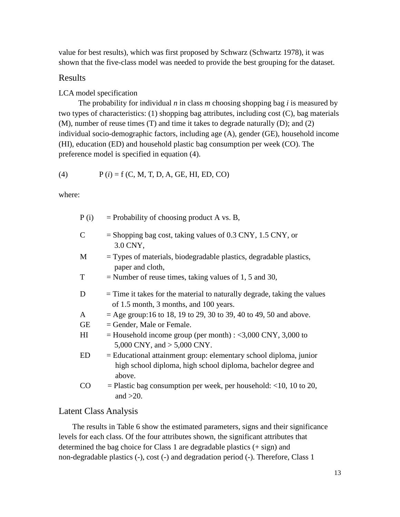value for best results), which was first proposed by Schwarz (Schwartz 1978), it was shown that the five-class model was needed to provide the best grouping for the dataset.

#### Results

#### LCA model specification

The probability for individual *n* in class *m* choosing shopping bag *i* is measured by two types of characteristics: (1) shopping bag attributes, including cost (C), bag materials (M), number of reuse times (T) and time it takes to degrade naturally (D); and (2) individual socio-demographic factors, including age (A), gender (GE), household income (HI), education (ED) and household plastic bag consumption per week (CO). The preference model is specified in equation (4).

(4) 
$$
P(i) = f(C, M, T, D, A, GE, HI, ED, CO)
$$

where:

| P(i)                       | $=$ Probability of choosing product A vs. B,                                                                                                 |
|----------------------------|----------------------------------------------------------------------------------------------------------------------------------------------|
| $\overline{C}$             | $=$ Shopping bag cost, taking values of 0.3 CNY, 1.5 CNY, or<br>3.0 CNY,                                                                     |
| М                          | $=$ Types of materials, biodegradable plastics, degradable plastics,<br>paper and cloth,                                                     |
| T                          | $=$ Number of reuse times, taking values of 1, 5 and 30,                                                                                     |
| D                          | $=$ Time it takes for the material to naturally degrade, taking the values<br>of 1.5 month, 3 months, and 100 years.                         |
| A                          | $=$ Age group:16 to 18, 19 to 29, 30 to 39, 40 to 49, 50 and above.                                                                          |
| GЕ                         | $=$ Gender, Male or Female.                                                                                                                  |
| $\mathop{\rm HI}\nolimits$ | $=$ Household income group (per month) : <3,000 CNY, 3,000 to<br>5,000 CNY, and $> 5,000$ CNY.                                               |
| ED                         | = Educational attainment group: elementary school diploma, junior<br>high school diploma, high school diploma, bachelor degree and<br>above. |
| CO                         | $=$ Plastic bag consumption per week, per household: <10, 10 to 20,<br>and $>20$ .                                                           |

# Latent Class Analysis

The results in Table 6 show the estimated parameters, signs and their significance levels for each class. Of the four attributes shown, the significant attributes that determined the bag choice for Class 1 are degradable plastics (+ sign) and non-degradable plastics (-), cost (-) and degradation period (-). Therefore, Class 1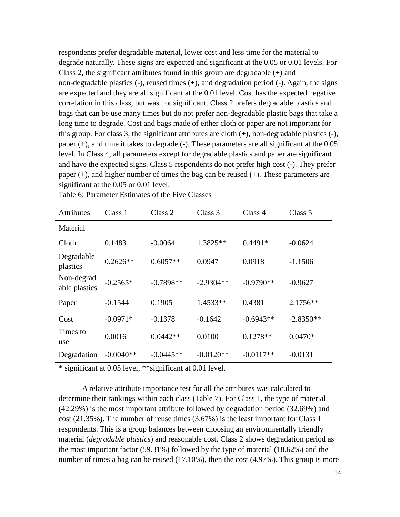respondents prefer degradable material, lower cost and less time for the material to degrade naturally. These signs are expected and significant at the 0.05 or 0.01 levels. For Class 2, the significant attributes found in this group are degradable  $(+)$  and non-degradable plastics (-), reused times (+), and degradation period (-). Again, the signs are expected and they are all significant at the 0.01 level. Cost has the expected negative correlation in this class, but was not significant. Class 2 prefers degradable plastics and bags that can be use many times but do not prefer non-degradable plastic bags that take a long time to degrade. Cost and bags made of either cloth or paper are not important for this group. For class 3, the significant attributes are cloth (+), non-degradable plastics (-), paper (+), and time it takes to degrade (-). These parameters are all significant at the 0.05 level. In Class 4, all parameters except for degradable plastics and paper are significant and have the expected signs. Class 5 respondents do not prefer high cost (-). They prefer paper (+), and higher number of times the bag can be reused (+). These parameters are significant at the 0.05 or 0.01 level.

| <b>Attributes</b>           | Class 1     | Class 2     | Class 3     | Class 4     | Class 5     |
|-----------------------------|-------------|-------------|-------------|-------------|-------------|
| Material                    |             |             |             |             |             |
| Cloth                       | 0.1483      | $-0.0064$   | 1.3825**    | $0.4491*$   | $-0.0624$   |
| Degradable<br>plastics      | $0.2626**$  | $0.6057**$  | 0.0947      | 0.0918      | $-1.1506$   |
| Non-degrad<br>able plastics | $-0.2565*$  | $-0.7898**$ | $-2.9304**$ | $-0.9790**$ | $-0.9627$   |
| Paper                       | $-0.1544$   | 0.1905      | $1.4533**$  | 0.4381      | 2.1756**    |
| Cost                        | $-0.0971*$  | $-0.1378$   | $-0.1642$   | $-0.6943**$ | $-2.8350**$ |
| Times to<br>use             | 0.0016      | $0.0442**$  | 0.0100      | $0.1278**$  | $0.0470*$   |
| Degradation                 | $-0.0040**$ | $-0.0445**$ | $-0.0120**$ | $-0.0117**$ | $-0.0131$   |

Table 6: Parameter Estimates of the Five Classes

\* significant at 0.05 level, \*\*significant at 0.01 level.

A relative attribute importance test for all the attributes was calculated to determine their rankings within each class (Table 7). For Class 1, the type of material (42.29%) is the most important attribute followed by degradation period (32.69%) and cost (21.35%). The number of reuse times (3.67%) is the least important for Class 1 respondents. This is a group balances between choosing an environmentally friendly material (*degradable plastics*) and reasonable cost. Class 2 shows degradation period as the most important factor (59.31%) followed by the type of material (18.62%) and the number of times a bag can be reused (17.10%), then the cost (4.97%). This group is more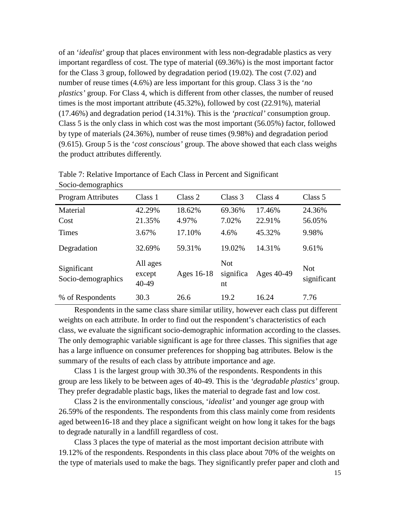of an '*idealist*' group that places environment with less non-degradable plastics as very important regardless of cost. The type of material (69.36%) is the most important factor for the Class 3 group, followed by degradation period (19.02). The cost (7.02) and number of reuse times (4.6%) are less important for this group. Class 3 is the '*no plastics'* group. For Class 4, which is different from other classes, the number of reused times is the most important attribute (45.32%), followed by cost (22.91%), material (17.46%) and degradation period (14.31%). This is the *'practical'* consumption group. Class 5 is the only class in which cost was the most important (56.05%) factor, followed by type of materials (24.36%), number of reuse times (9.98%) and degradation period (9.615). Group 5 is the '*cost conscious'* group. The above showed that each class weighs the product attributes differently.

| $500$ $100$ $100$ $100$           |                             |                 |                               |                  |                           |
|-----------------------------------|-----------------------------|-----------------|-------------------------------|------------------|---------------------------|
| <b>Program Attributes</b>         | Class 1                     | Class 2         | Class 3                       | Class 4          | Class 5                   |
| Material<br>Cost                  | 42.29%<br>21.35%            | 18.62%<br>4.97% | 69.36%<br>7.02%               | 17.46%<br>22.91% | 24.36%<br>56.05%          |
| <b>Times</b>                      | 3.67%                       | 17.10%          | 4.6%                          | 45.32%           | 9.98%                     |
| Degradation                       | 32.69%                      | 59.31%          | 19.02%                        | 14.31%           | 9.61%                     |
| Significant<br>Socio-demographics | All ages<br>except<br>40-49 | Ages 16-18      | <b>Not</b><br>significa<br>nt | Ages 40-49       | <b>Not</b><br>significant |
| % of Respondents                  | 30.3                        | 26.6            | 19.2                          | 16.24            | 7.76                      |

Table 7: Relative Importance of Each Class in Percent and Significant Socio-demographics

Respondents in the same class share similar utility, however each class put different weights on each attribute. In order to find out the respondent's characteristics of each class, we evaluate the significant socio-demographic information according to the classes. The only demographic variable significant is age for three classes. This signifies that age has a large influence on consumer preferences for shopping bag attributes. Below is the summary of the results of each class by attribute importance and age.

Class 1 is the largest group with 30.3% of the respondents. Respondents in this group are less likely to be between ages of 40-49. This is the *'degradable plastics'* group. They prefer degradable plastic bags, likes the material to degrade fast and low cost.

Class 2 is the environmentally conscious, '*idealist'* and younger age group with 26.59% of the respondents. The respondents from this class mainly come from residents aged between16-18 and they place a significant weight on how long it takes for the bags to degrade naturally in a landfill regardless of cost.

Class 3 places the type of material as the most important decision attribute with 19.12% of the respondents. Respondents in this class place about 70% of the weights on the type of materials used to make the bags. They significantly prefer paper and cloth and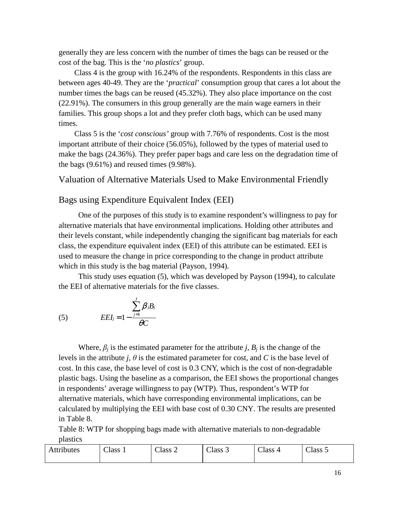generally they are less concern with the number of times the bags can be reused or the cost of the bag. This is the '*no plastics*' group.

Class 4 is the group with 16.24% of the respondents. Respondents in this class are between ages 40-49. They are the '*practical*' consumption group that cares a lot about the number times the bags can be reused (45.32%). They also place importance on the cost (22.91%). The consumers in this group generally are the main wage earners in their families. This group shops a lot and they prefer cloth bags, which can be used many times.

Class 5 is the '*cost conscious'* group with 7.76% of respondents. Cost is the most important attribute of their choice (56.05%), followed by the types of material used to make the bags (24.36%). They prefer paper bags and care less on the degradation time of the bags (9.61%) and reused times (9.98%).

#### Valuation of Alternative Materials Used to Make Environmental Friendly

#### Bags using Expenditure Equivalent Index (EEI)

One of the purposes of this study is to examine respondent's willingness to pay for alternative materials that have environmental implications. Holding other attributes and their levels constant, while independently changing the significant bag materials for each class, the expenditure equivalent index (EEI) of this attribute can be estimated. EEI is used to measure the change in price corresponding to the change in product attribute which in this study is the bag material (Payson, 1994).

This study uses equation (5), which was developed by Payson (1994), to calculate the EEI of alternative materials for the five classes.

(5) 
$$
E E I_j = 1 - \frac{\sum_{j=1}^{J} \beta_j B_j}{\theta C}
$$

Where,  $\beta_j$  is the estimated parameter for the attribute *j*,  $B_j$  is the change of the levels in the attribute *j*,  $\theta$  is the estimated parameter for cost, and *C* is the base level of cost. In this case, the base level of cost is 0.3 CNY, which is the cost of non-degradable plastic bags. Using the baseline as a comparison, the EEI shows the proportional changes in respondents' average willingness to pay (WTP). Thus, respondent's WTP for alternative materials, which have corresponding environmental implications, can be calculated by multiplying the EEI with base cost of 0.30 CNY. The results are presented in Table 8.

Table 8: WTP for shopping bags made with alternative materials to non-degradable plastics

| Attributes | <b>CIT</b><br>-lass ' | $\sim$<br>$\triangle$ lass 2 | $\sim$<br>Class 3 | $\sim$<br>lace<br>ەمەت | $\sim$<br>Class 5 |
|------------|-----------------------|------------------------------|-------------------|------------------------|-------------------|
|            |                       |                              |                   |                        |                   |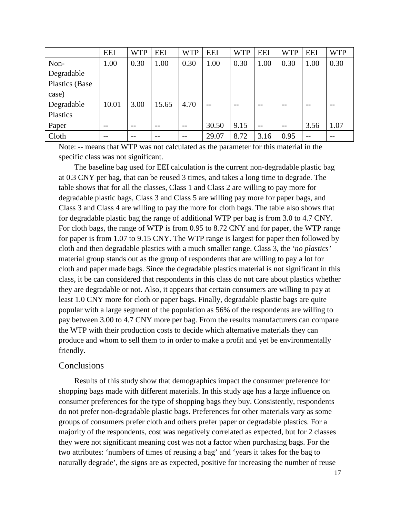|                | <b>EEI</b> | <b>WTP</b> | <b>EEI</b> | <b>WTP</b> | <b>EEI</b> | <b>WTP</b> | <b>EEI</b> | <b>WTP</b> | <b>EEI</b> | <b>WTP</b> |
|----------------|------------|------------|------------|------------|------------|------------|------------|------------|------------|------------|
| Non-           | 1.00       | 0.30       | 1.00       | 0.30       | 1.00       | 0.30       | 1.00       | 0.30       | 1.00       | 0.30       |
| Degradable     |            |            |            |            |            |            |            |            |            |            |
| Plastics (Base |            |            |            |            |            |            |            |            |            |            |
| case)          |            |            |            |            |            |            |            |            |            |            |
| Degradable     | 10.01      | 3.00       | 15.65      | 4.70       | $- -$      | $- -$      | $- -$      | $- -$      |            |            |
| Plastics       |            |            |            |            |            |            |            |            |            |            |
| Paper          | --         |            | --         | $- -$      | 30.50      | 9.15       | $ -$       | $- -$      | 3.56       | 1.07       |
| Cloth          | $ -$       |            | --         | $- -$      | 29.07      | 8.72       | 3.16       | 0.95       | --         |            |

Note: -- means that WTP was not calculated as the parameter for this material in the specific class was not significant.

The baseline bag used for EEI calculation is the current non-degradable plastic bag at 0.3 CNY per bag, that can be reused 3 times, and takes a long time to degrade. The table shows that for all the classes, Class 1 and Class 2 are willing to pay more for degradable plastic bags, Class 3 and Class 5 are willing pay more for paper bags, and Class 3 and Class 4 are willing to pay the more for cloth bags. The table also shows that for degradable plastic bag the range of additional WTP per bag is from 3.0 to 4.7 CNY. For cloth bags, the range of WTP is from 0.95 to 8.72 CNY and for paper, the WTP range for paper is from 1.07 to 9.15 CNY. The WTP range is largest for paper then followed by cloth and then degradable plastics with a much smaller range. Class 3, the *'no plastics'* material group stands out as the group of respondents that are willing to pay a lot for cloth and paper made bags. Since the degradable plastics material is not significant in this class, it be can considered that respondents in this class do not care about plastics whether they are degradable or not. Also, it appears that certain consumers are willing to pay at least 1.0 CNY more for cloth or paper bags. Finally, degradable plastic bags are quite popular with a large segment of the population as 56% of the respondents are willing to pay between 3.00 to 4.7 CNY more per bag. From the results manufacturers can compare the WTP with their production costs to decide which alternative materials they can produce and whom to sell them to in order to make a profit and yet be environmentally friendly.

### Conclusions

Results of this study show that demographics impact the consumer preference for shopping bags made with different materials. In this study age has a large influence on consumer preferences for the type of shopping bags they buy. Consistently, respondents do not prefer non-degradable plastic bags. Preferences for other materials vary as some groups of consumers prefer cloth and others prefer paper or degradable plastics. For a majority of the respondents, cost was negatively correlated as expected, but for 2 classes they were not significant meaning cost was not a factor when purchasing bags. For the two attributes: 'numbers of times of reusing a bag' and 'years it takes for the bag to naturally degrade', the signs are as expected, positive for increasing the number of reuse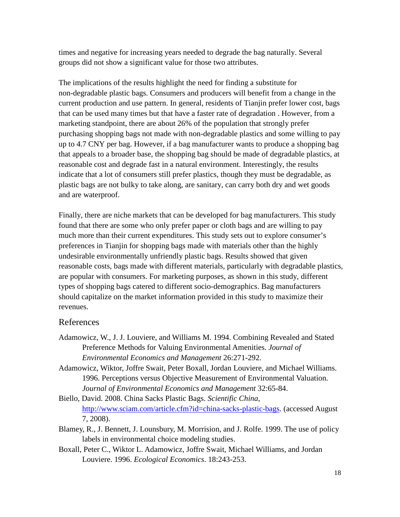times and negative for increasing years needed to degrade the bag naturally. Several groups did not show a significant value for those two attributes.

The implications of the results highlight the need for finding a substitute for non-degradable plastic bags. Consumers and producers will benefit from a change in the current production and use pattern. In general, residents of Tianjin prefer lower cost, bags that can be used many times but that have a faster rate of degradation . However, from a marketing standpoint, there are about 26% of the population that strongly prefer purchasing shopping bags not made with non-degradable plastics and some willing to pay up to 4.7 CNY per bag. However, if a bag manufacturer wants to produce a shopping bag that appeals to a broader base, the shopping bag should be made of degradable plastics, at reasonable cost and degrade fast in a natural environment. Interestingly, the results indicate that a lot of consumers still prefer plastics, though they must be degradable, as plastic bags are not bulky to take along, are sanitary, can carry both dry and wet goods and are waterproof.

Finally, there are niche markets that can be developed for bag manufacturers. This study found that there are some who only prefer paper or cloth bags and are willing to pay much more than their current expenditures. This study sets out to explore consumer's preferences in Tianjin for shopping bags made with materials other than the highly undesirable environmentally unfriendly plastic bags. Results showed that given reasonable costs, bags made with different materials, particularly with degradable plastics, are popular with consumers. For marketing purposes, as shown in this study, different types of shopping bags catered to different socio-demographics. Bag manufacturers should capitalize on the market information provided in this study to maximize their revenues.

## References

- Adamowicz, W., J. J. Louviere, and Williams M. 1994. Combining Revealed and Stated Preference Methods for Valuing Environmental Amenities. *Journal of Environmental Economics and Management* 26:271-292.
- Adamowicz, Wiktor, Joffre Swait, Peter Boxall, Jordan Louviere, and Michael Williams. 1996. Perceptions versus Objective Measurement of Environmental Valuation. *Journal of Environmental Economics and Management* 32:65-84.

Biello, David. 2008. China Sacks Plastic Bags. *Scientific China*, http://www.sciam.com/article.cfm?id=china-sacks-plastic-bags. (accessed August 7, 2008).

- Blamey, R., J. Bennett, J. Lounsbury, M. Morrision, and J. Rolfe. 1999. The use of policy labels in environmental choice modeling studies.
- Boxall, Peter C., Wiktor L. Adamowicz, Joffre Swait, Michael Williams, and Jordan Louviere. 1996. *Ecological Economics*. 18:243-253.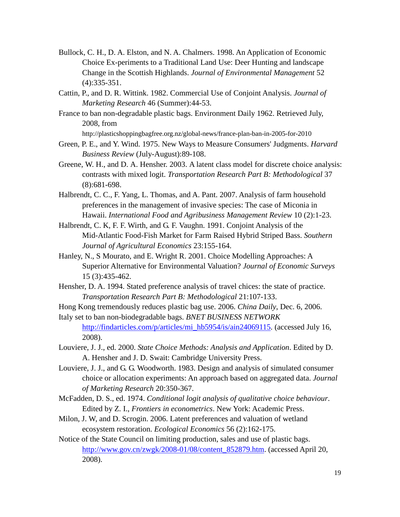- Bullock, C. H., D. A. Elston, and N. A. Chalmers. 1998. An Application of Economic Choice Ex-periments to a Traditional Land Use: Deer Hunting and landscape Change in the Scottish Highlands. *Journal of Environmental Management* 52 (4):335-351.
- Cattin, P., and D. R. Wittink. 1982. Commercial Use of Conjoint Analysis. *Journal of Marketing Research* 46 (Summer):44-53.
- France to ban non-degradable plastic bags. Environment Daily 1962. Retrieved July, 2008, from

http://plasticshoppingbagfree.org.nz/global-news/france-plan-ban-in-2005-for-2010

- Green, P. E., and Y. Wind. 1975. New Ways to Measure Consumers' Judgments. *Harvard Business Review* (July-August):89-108.
- Greene, W. H., and D. A. Hensher. 2003. A latent class model for discrete choice analysis: contrasts with mixed logit. *Transportation Research Part B: Methodological* 37 (8):681-698.
- Halbrendt, C. C., F. Yang, L. Thomas, and A. Pant. 2007. Analysis of farm household preferences in the management of invasive species: The case of Miconia in Hawaii. *International Food and Agribusiness Management Review* 10 (2):1-23.
- Halbrendt, C. K, F. F. Wirth, and G. F. Vaughn. 1991. Conjoint Analysis of the Mid-Atlantic Food-Fish Market for Farm Raised Hybrid Striped Bass. *Southern Journal of Agricultural Economics* 23:155-164.
- Hanley, N., S Mourato, and E. Wright R. 2001. Choice Modelling Approaches: A Superior Alternative for Environmental Valuation? *Journal of Economic Surveys* 15 (3):435-462.
- Hensher, D. A. 1994. Stated preference analysis of travel chices: the state of practice. *Transportation Research Part B: Methodological* 21:107-133.
- Hong Kong tremendously reduces plastic bag use. 2006. *China Daily*, Dec. 6, 2006.
- Italy set to ban non-biodegradable bags. *BNET BUSINESS NETWORK*  http://findarticles.com/p/articles/mi\_hb5954/is/ain24069115. (accessed July 16, 2008).
- Louviere, J. J., ed. 2000. *State Choice Methods: Analysis and Application*. Edited by D. A. Hensher and J. D. Swait: Cambridge University Press.
- Louviere, J. J., and G. G. Woodworth. 1983. Design and analysis of simulated consumer choice or allocation experiments: An approach based on aggregated data. *Journal of Marketing Research* 20:350-367.
- McFadden, D. S., ed. 1974. *Conditional logit analysis of qualitative choice behaviour*. Edited by Z. I., *Frontiers in econometrics*. New York: Academic Press.
- Milon, J. W, and D. Scrogin. 2006. Latent preferences and valuation of wetland ecosystem restoration. *Ecological Economics* 56 (2):162-175.
- Notice of the State Council on limiting production, sales and use of plastic bags. http://www.gov.cn/zwgk/2008-01/08/content\_852879.htm. (accessed April 20, 2008).